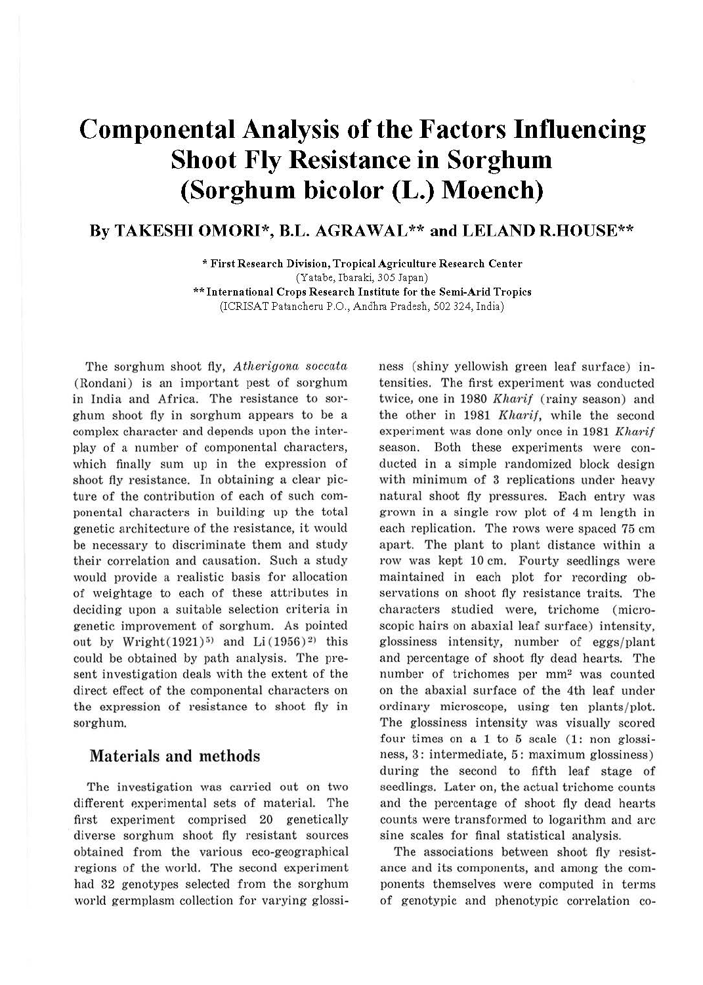# **Componental Analysis of the Factors Influencing Shoot Fly Resistance in Sorghum (Sorghum bicolor (L.) Moench)**

# **By TAKESHI OMORI\*, B.L. AGRAWAL\*\* and LELAND R.HOUSE\*\***

\* **First Research Division, Tropical Agriculture Research Center**  (Yatabe, Ibaraki, 305 Japan) \*\* **International Crops Research Institute for the Semi-Arid Tropics**  (ICRISAT Patancheru P.O., Andhra Pradesh, 502 324, India)

The sorghum shoot fly, Atherigona soccata (Rondani) is an important pest of sorghum in India and Africa. The resistance to sorghum shoot fly in sorghum appears to be a complex character and depends upon the interplay of a number of componental characters, which finally sum up in the expression of shoot fly resistance. In obtaining a clear picture of the contribution of each of such componental characters in building up the total genetic architecture of the resistance, it would be necessary to discriminate them and study their correlation and causation. Such a study would provide a realistic basis for allocation of weightage to each of these attributes in deciding upon a suitable selection criteria in genetic improvement of sorghum. As pointed out by Wright $(1921)^5$  and Li $(1956)^2$  this could be obtained by path analysis. The present investigation deals with the extent of the direct effect of the componental characters on the expression of resistance to shoot fly in sorghum.

### **Materials and methods**

The investigation was carried out on two different experimental sets of material. The first experiment comprised 20 genetically diverse sorghum shoot fly resistant sources obtained from the various eco-geographical regions of the world. The second experiment had 32 genotypes selected from the sorghum world germplasm collection for varying glossiness (shiny yellowish green leaf surface) intensities. The first experiment was conducted twice, one in 1980 Kharif (rainy season) and the other in 1981 Kharif, while the second experiment was done only once in 1981 Kharif season. Both these experiments were conducted in a simple randomized block design with minimum of 3 replications under heavy natural shoot fly pressures. Each entry was grown in a single row plot of 4 m length in each replication. The rows were spaced 75 cm apart. The plant to plant distance within a row was kept 10 cm. Fourty seedlings were maintained in each plot for recording observations on shoot fly resistance traits. The characters studied were, trichome (microscopic hairs on abaxial leaf surface) intensity, glossiness intensity, number of eggs/ plant and percentage of shoot fly dead hearts. The number of trichomes per mm<sup>2</sup> was counted on the abaxial surface of the 4th leaf under ordinary microscope, using ten plants/plot. The glossiness intensity was visually scored four times on a 1 to 5 scale (1: non glossiness, 3: intermediate, 5: maximum glossiness) during the second to fifth leaf stage of seedlings. Later on, the actual trichome counts and the percentage of shoot fly dead hearts counts were transformed to logarithm and arc sine scales for final statistical analysis.

The associations between shoot fly resistance and its components, and among the components themselves were computed in terms of genotypic and phenotypic correlation co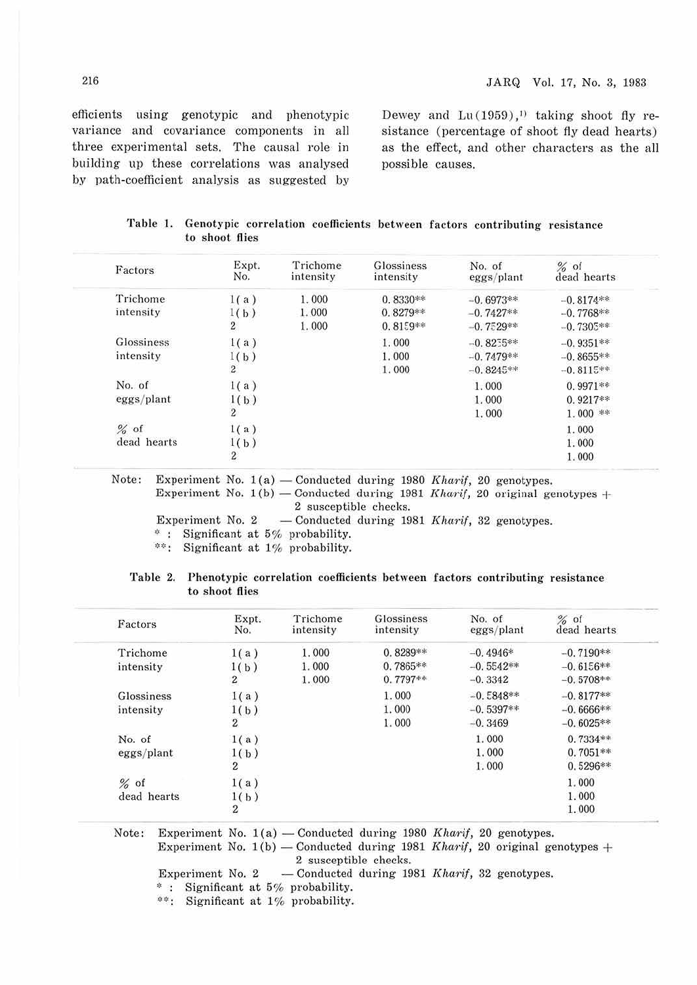efficients using genotypic and phenotypic variance and covariance components in all three experimental sets. The causal role in building up these correlations was analysed by path-coefficient analysis as suggested by

Dewey and  $Lu(1959),$ <sup>1)</sup> taking shoot fly resistance (percentage of shoot fly dead hearts) as the effect, and other characters as the all possible causes.

| Table 1. Genotypic correlation coefficients between factors contributing resistance |  |  |  |  |  |  |
|-------------------------------------------------------------------------------------|--|--|--|--|--|--|
| to shoot flies                                                                      |  |  |  |  |  |  |

| Factors     | Expt.<br>No.     | Trichome<br>intensity | Glossiness<br>intensity | No. of<br>eggs/plant | $%$ of<br>dead hearts |
|-------------|------------------|-----------------------|-------------------------|----------------------|-----------------------|
| Trichome    | 1(a)             | 1.000                 | $0.8330**$              | $-0.6973**$          | $-0.8174**$           |
| intensity   | 1(b)             | 1.000                 | $0.8279**$              | $-0.7427**$          | $-0.7768**$           |
|             | $\boldsymbol{2}$ | 1.000                 | $0.8159**$              | $-0.7529**$          | $-0.7305**$           |
| Glossiness  | 1(a)             |                       | 1.000                   | $-0.8255**$          | $-0.9351**$           |
| intensity   | 1(b)             |                       | 1.000                   | $-0.7479**$          | $-0.8655**$           |
|             | $\overline{2}$   |                       | 1.000                   | $-0.8245**$          | $-0.8115**$           |
| No. of      | 1(a)             |                       |                         | 1.000                | $0.9971**$            |
| eggs/plant  | 1(b)             |                       |                         | 1.000                | $0.9217**$            |
|             | $\overline{2}$   |                       |                         | 1.000                | $1.000$ **            |
| $%$ of      | 1(a)             |                       |                         |                      | 1.000                 |
| dead hearts | 1(b)             |                       |                         |                      | 1.000                 |
|             | $\boldsymbol{2}$ |                       |                         |                      | 1.000                 |

Note: Experiment No.  $1(a)$  - Conducted during 1980 Kharif, 20 genotypes. Experiment No. 1(b) - Conducted during 1981 Kharif, 20 original genotypes + 2 susceptible checks.

Experiment No. 2  $-$  Conducted during 1981 Kharif, 32 genotypes.

 $*$ : Significant at 5% probability.

\*\*: Significant at 1% probability.

#### Table 2. Phenotypic correlation coefficients between factors contributing resistance to shoot flies

| Factors                 | Expt.<br>No.                     | Trichome<br>intensity   | <b>Glossiness</b><br>intensity         | No. of<br>eggs/plant                    | $%$ of<br>dead hearts                     |
|-------------------------|----------------------------------|-------------------------|----------------------------------------|-----------------------------------------|-------------------------------------------|
| Trichome<br>intensity   | 1(a)<br>1(b)<br>$\boldsymbol{2}$ | 1.000<br>1.000<br>1.000 | $0.8289**$<br>$0.7865**$<br>$0.7797**$ | $-0.4946*$<br>$-0.5542**$<br>$-0.3342$  | $-0.7190**$<br>$-0.6156**$<br>$-0.5708**$ |
| Glossiness<br>intensity | 1(a)<br>1(b)<br>$\overline{2}$   |                         | 1.000<br>1.000<br>1.000                | $-0.5848**$<br>$-0.5397**$<br>$-0.3469$ | $-0.8177**$<br>$-0.6666**$<br>$-0.6025**$ |
| No. of<br>eggs/plant    | 1(a)<br>1(b)<br>$\overline{c}$   |                         |                                        | 1.000<br>1.000<br>1.000                 | $0.7334**$<br>$0.7051**$<br>$0.5296**$    |
| $%$ of<br>dead hearts   | 1(a)<br>1(b)<br>$\boldsymbol{2}$ |                         |                                        |                                         | 1.000<br>1.000<br>1.000                   |

Note: Experiment No.  $1(a)$  - Conducted during 1980 Kharif, 20 genotypes.

Experiment No.  $1(b)$  - Conducted during 1981 Kharif, 20 original genotypes + 2 susceptible checks.

Experiment No. 2  $-$  Conducted during 1981 Kharif, 32 genotypes.

\* : Significant at 5% probability.

\*\*: Significant at 1% probability.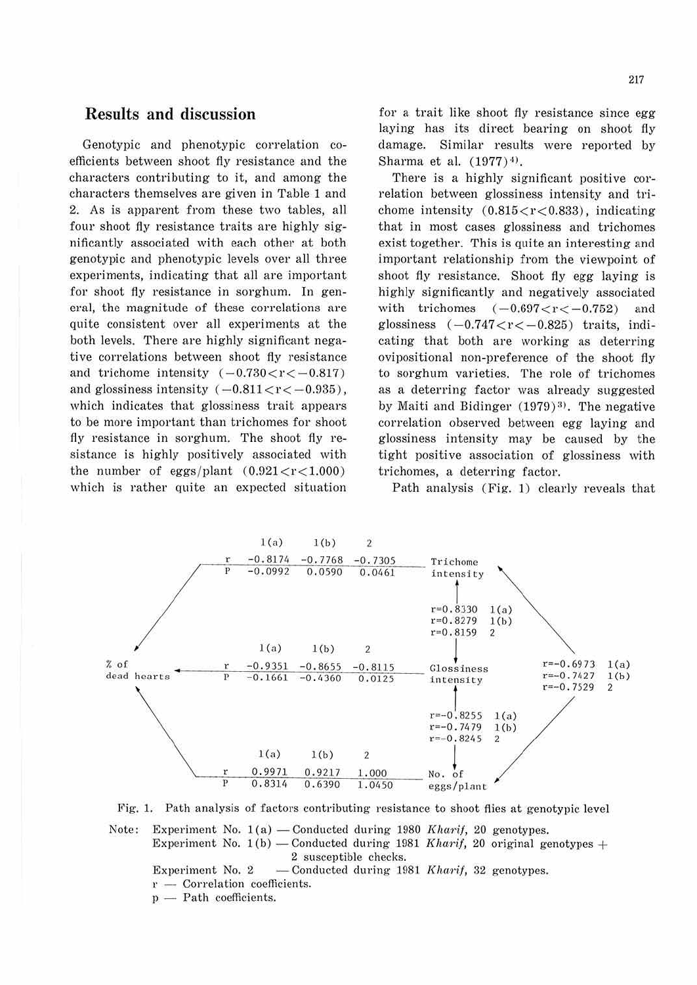# **Results and discussion**

Genotypic and phenotypic correlation coefficients between shoot fly resistance and the characters contributing to it, and among the characters themselves are given in Table 1 and 2. As is apparent from these two tables, all four shoot fly resistance traits are highly significantly associated with each other at both genotypic and phenotypic levels over all three experiments, indicating that all are important for shoot fiy resistance in sorghum. In general, the magnitude of these correlations are quite consistent over all experiments at the both levels. There are highly significant negative correlations between shoot fly resistance and trichome intensity  $(-0.730 < r < -0.817)$ and glossiness intensity  $(-0.811 < r < -0.935)$ , which indicates that glossiness trait appears to be more important than trichomes for shoot fly resistance in sorghum. The shoot fly resistance is highly positively associated with the number of eggs/plant  $(0.921 < r < 1.000)$ which is rather quite an expected situation

for a trait like shoot fly resistance since egg laying bas its direct bearing on shoot fly damage. Similar results were reported by Sharma et al.  $(1977)^{4}$ .

There is a highly significant positive correlation between glossiness intensity and trichome intensity  $(0.815 < r < 0.833)$ , indicating that in most cases glossiness and trichomes exist together. This is quite an interesting and important relationship from the viewpoint of shoot fly resistance. Shoot fly egg laying is highly significantly and negatively associated with trichomes  $(-0.697 < r < -0.752)$  and glossiness  $(-0.747 < r < -0.825)$  traits, indicating that both are working as deterring ovipositional non-preference of the shoot fly to sorghum varieties. The role of trichomes as a deterring factor was already suggested by Maiti and Bidinger  $(1979)^3$ . The negative correlation observed between egg laying and glossiness intensity may be caused by the tight positive association of glossiness with trichomes, a deterring factor.

Path analysis (Fig. 1) clearly reveals that



Fig. 1. Path analysis of factors contributing resistance to shoot flies at genotypic level

Note: Experiment No.  $1(a)$  - Conducted during 1980 Kharif, 20 genotypes. Experiment No. 1(b) - Conducted during 1981 *Kharif*, 20 original genotypes + 2 susceptible checks.

Experiment No. 2  $-$  Conducted during 1981 Kharif, 32 genotypes.  $r -$  Correlation coefficients.

p - Path coefficients.